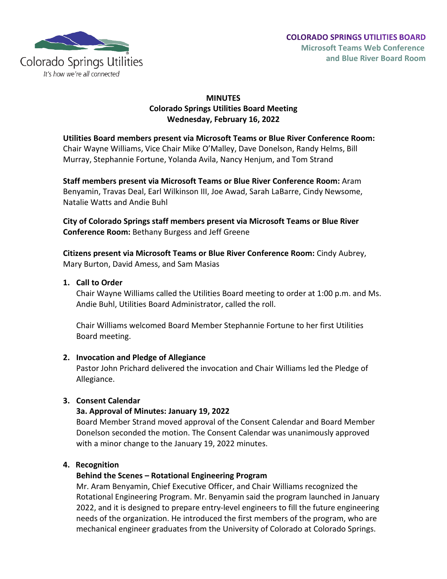

# **MINUTES Colorado Springs Utilities Board Meeting Wednesday, February 16, 2022**

**Utilities Board members present via Microsoft Teams or Blue River Conference Room:** Chair Wayne Williams, Vice Chair Mike O'Malley, Dave Donelson, Randy Helms, Bill Murray, Stephannie Fortune, Yolanda Avila, Nancy Henjum, and Tom Strand

**Staff members present via Microsoft Teams or Blue River Conference Room:** Aram Benyamin, Travas Deal, Earl Wilkinson III, Joe Awad, Sarah LaBarre, Cindy Newsome, Natalie Watts and Andie Buhl

**City of Colorado Springs staff members present via Microsoft Teams or Blue River Conference Room:** Bethany Burgess and Jeff Greene

**Citizens present via Microsoft Teams or Blue River Conference Room:** Cindy Aubrey, Mary Burton, David Amess, and Sam Masias

## **1. Call to Order**

Chair Wayne Williams called the Utilities Board meeting to order at 1:00 p.m. and Ms. Andie Buhl, Utilities Board Administrator, called the roll.

Chair Williams welcomed Board Member Stephannie Fortune to her first Utilities Board meeting.

# **2. Invocation and Pledge of Allegiance**

Pastor John Prichard delivered the invocation and Chair Williams led the Pledge of Allegiance.

# **3. Consent Calendar**

# **3a. Approval of Minutes: January 19, 2022**

Board Member Strand moved approval of the Consent Calendar and Board Member Donelson seconded the motion. The Consent Calendar was unanimously approved with a minor change to the January 19, 2022 minutes.

## **4. Recognition**

# **Behind the Scenes – Rotational Engineering Program**

Mr. Aram Benyamin, Chief Executive Officer, and Chair Williams recognized the Rotational Engineering Program. Mr. Benyamin said the program launched in January 2022, and it is designed to prepare entry-level engineers to fill the future engineering needs of the organization. He introduced the first members of the program, who are mechanical engineer graduates from the University of Colorado at Colorado Springs.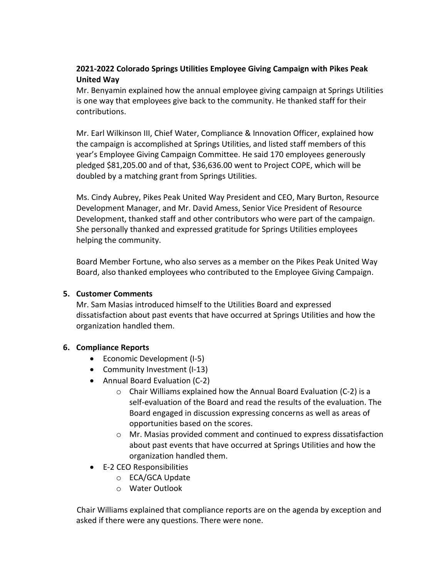# **2021-2022 Colorado Springs Utilities Employee Giving Campaign with Pikes Peak United Way**

Mr. Benyamin explained how the annual employee giving campaign at Springs Utilities is one way that employees give back to the community. He thanked staff for their contributions.

Mr. Earl Wilkinson III, Chief Water, Compliance & Innovation Officer, explained how the campaign is accomplished at Springs Utilities, and listed staff members of this year's Employee Giving Campaign Committee. He said 170 employees generously pledged \$81,205.00 and of that, \$36,636.00 went to Project COPE, which will be doubled by a matching grant from Springs Utilities.

Ms. Cindy Aubrey, Pikes Peak United Way President and CEO, Mary Burton, Resource Development Manager, and Mr. David Amess, Senior Vice President of Resource Development, thanked staff and other contributors who were part of the campaign. She personally thanked and expressed gratitude for Springs Utilities employees helping the community.

Board Member Fortune, who also serves as a member on the Pikes Peak United Way Board, also thanked employees who contributed to the Employee Giving Campaign.

# **5. Customer Comments**

Mr. Sam Masias introduced himself to the Utilities Board and expressed dissatisfaction about past events that have occurred at Springs Utilities and how the organization handled them.

# **6. Compliance Reports**

- Economic Development (I-5)
- Community Investment (I-13)
- Annual Board Evaluation (C-2)
	- $\circ$  Chair Williams explained how the Annual Board Evaluation (C-2) is a self-evaluation of the Board and read the results of the evaluation. The Board engaged in discussion expressing concerns as well as areas of opportunities based on the scores.
	- o Mr. Masias provided comment and continued to express dissatisfaction about past events that have occurred at Springs Utilities and how the organization handled them.
- E-2 CEO Responsibilities
	- o ECA/GCA Update
	- o Water Outlook

Chair Williams explained that compliance reports are on the agenda by exception and asked if there were any questions. There were none.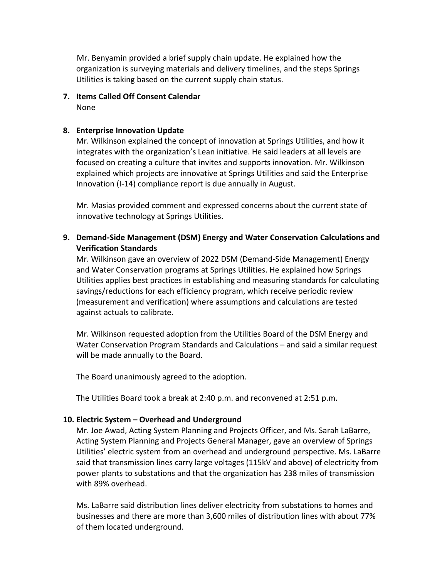Mr. Benyamin provided a brief supply chain update. He explained how the organization is surveying materials and delivery timelines, and the steps Springs Utilities is taking based on the current supply chain status.

**7. Items Called Off Consent Calendar** None

## **8. Enterprise Innovation Update**

Mr. Wilkinson explained the concept of innovation at Springs Utilities, and how it integrates with the organization's Lean initiative. He said leaders at all levels are focused on creating a culture that invites and supports innovation. Mr. Wilkinson explained which projects are innovative at Springs Utilities and said the Enterprise Innovation (I-14) compliance report is due annually in August.

Mr. Masias provided comment and expressed concerns about the current state of innovative technology at Springs Utilities.

**9. Demand-Side Management (DSM) Energy and Water Conservation Calculations and Verification Standards**

Mr. Wilkinson gave an overview of 2022 DSM (Demand-Side Management) Energy and Water Conservation programs at Springs Utilities. He explained how Springs Utilities applies best practices in establishing and measuring standards for calculating savings/reductions for each efficiency program, which receive periodic review (measurement and verification) where assumptions and calculations are tested against actuals to calibrate.

Mr. Wilkinson requested adoption from the Utilities Board of the DSM Energy and Water Conservation Program Standards and Calculations – and said a similar request will be made annually to the Board.

The Board unanimously agreed to the adoption.

The Utilities Board took a break at 2:40 p.m. and reconvened at 2:51 p.m.

# **10. Electric System – Overhead and Underground**

Mr. Joe Awad, Acting System Planning and Projects Officer, and Ms. Sarah LaBarre, Acting System Planning and Projects General Manager, gave an overview of Springs Utilities' electric system from an overhead and underground perspective. Ms. LaBarre said that transmission lines carry large voltages (115kV and above) of electricity from power plants to substations and that the organization has 238 miles of transmission with 89% overhead.

Ms. LaBarre said distribution lines deliver electricity from substations to homes and businesses and there are more than 3,600 miles of distribution lines with about 77% of them located underground.